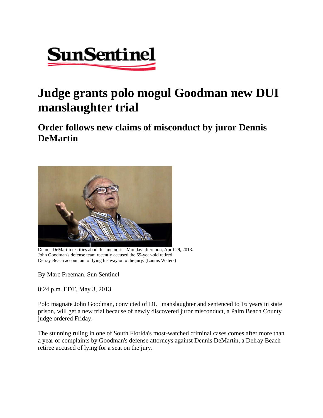

## **Judge grants polo mogul Goodman new DUI manslaughter trial**

**Order follows new claims of misconduct by juror Dennis DeMartin** 



Dennis DeMartin testifies about his memories Monday afternoon, April 29, 2013. John Goodman's defense team recently accused the 69-year-old retired Delray Beach accountant of lying his way onto the jury. (Lannis Waters)

By Marc Freeman, Sun Sentinel

8:24 p.m. EDT, May 3, 2013

Polo magnate John Goodman, convicted of DUI manslaughter and sentenced to 16 years in state prison, will get a new trial because of newly discovered juror misconduct, a Palm Beach County judge ordered Friday.

The stunning ruling in one of South Florida's most-watched criminal cases comes after more than a year of complaints by Goodman's defense attorneys against Dennis DeMartin, a Delray Beach retiree accused of lying for a seat on the jury.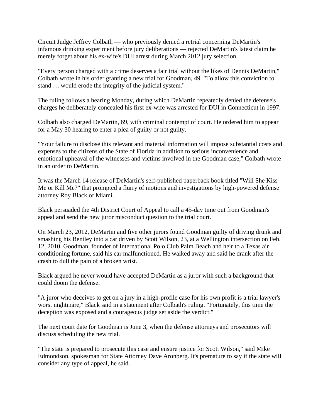Circuit Judge Jeffrey Colbath — who previously denied a retrial concerning DeMartin's infamous drinking experiment before jury deliberations — rejected DeMartin's latest claim he merely forget about his ex-wife's DUI arrest during March 2012 jury selection.

"Every person charged with a crime deserves a fair trial without the likes of Dennis DeMartin," Colbath wrote in his order granting a new trial for Goodman, 49. "To allow this conviction to stand … would erode the integrity of the judicial system."

The ruling follows a hearing Monday, during which DeMartin repeatedly denied the defense's charges he deliberately concealed his first ex-wife was arrested for DUI in Connecticut in 1997.

Colbath also charged DeMartin, 69, with criminal contempt of court. He ordered him to appear for a May 30 hearing to enter a plea of guilty or not guilty.

"Your failure to disclose this relevant and material information will impose substantial costs and expenses to the citizens of the State of Florida in addition to serious inconvenience and emotional upheaval of the witnesses and victims involved in the Goodman case," Colbath wrote in an order to DeMartin.

It was the March 14 release of DeMartin's self-published paperback book titled "Will She Kiss Me or Kill Me?" that prompted a flurry of motions and investigations by high-powered defense attorney Roy Black of Miami.

Black persuaded the 4th District Court of Appeal to call a 45-day time out from Goodman's appeal and send the new juror misconduct question to the trial court.

On March 23, 2012, DeMartin and five other jurors found Goodman guilty of driving drunk and smashing his Bentley into a car driven by Scott Wilson, 23, at a Wellington intersection on Feb. 12, 2010. Goodman, founder of International Polo Club Palm Beach and heir to a Texas air conditioning fortune, said his car malfunctioned. He walked away and said he drank after the crash to dull the pain of a broken wrist.

Black argued he never would have accepted DeMartin as a juror with such a background that could doom the defense.

"A juror who deceives to get on a jury in a high-profile case for his own profit is a trial lawyer's worst nightmare," Black said in a statement after Colbath's ruling. "Fortunately, this time the deception was exposed and a courageous judge set aside the verdict."

The next court date for Goodman is June 3, when the defense attorneys and prosecutors will discuss scheduling the new trial.

"The state is prepared to prosecute this case and ensure justice for Scott Wilson," said Mike Edmondson, spokesman for State Attorney Dave Aronberg. It's premature to say if the state will consider any type of appeal, he said.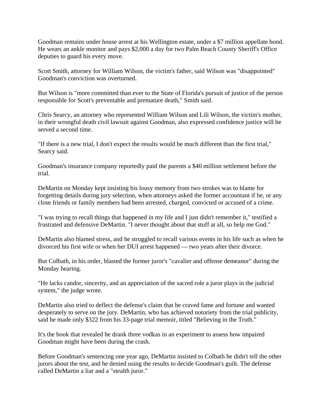Goodman remains under house arrest at his Wellington estate, under a \$7 million appellate bond. He wears an ankle monitor and pays \$2,000 a day for two Palm Beach County Sheriff's Office deputies to guard his every move.

Scott Smith, attorney for William Wilson, the victim's father, said Wilson was "disappointed" Goodman's conviction was overturned.

But Wilson is "more committed than ever to the State of Florida's pursuit of justice of the person responsible for Scott's preventable and premature death," Smith said.

Chris Searcy, an attorney who represented William Wilson and Lili Wilson, the victim's mother, in their wrongful death civil lawsuit against Goodman, also expressed confidence justice will be served a second time.

"If there is a new trial, I don't expect the results would be much different than the first trial," Searcy said.

Goodman's insurance company reportedly paid the parents a \$40 million settlement before the trial.

DeMartin on Monday kept insisting his lousy memory from two strokes was to blame for forgetting details during jury selection, when attorneys asked the former accountant if he, or any close friends or family members had been arrested, charged, convicted or accused of a crime.

"I was trying to recall things that happened in my life and I just didn't remember it," testified a frustrated and defensive DeMartin. "I never thought about that stuff at all, so help me God."

DeMartin also blamed stress, and he struggled to recall various events in his life such as when he divorced his first wife or when her DUI arrest happened — two years after their divorce.

But Colbath, in his order, blasted the former juror's "cavalier and offense demeanor" during the Monday hearing.

"He lacks candor, sincerity, and an appreciation of the sacred role a juror plays in the judicial system," the judge wrote.

DeMartin also tried to deflect the defense's claim that he craved fame and fortune and wanted desperately to serve on the jury. DeMartin, who has achieved notoriety from the trial publicity, said he made only \$322 from his 33-page trial memoir, titled "Believing in the Truth."

It's the book that revealed he drank three vodkas in an experiment to assess how impaired Goodman might have been during the crash.

Before Goodman's sentencing one year ago, DeMartin insisted to Colbath he didn't tell the other jurors about the test, and he denied using the results to decide Goodman's guilt. The defense called DeMartin a liar and a "stealth juror."